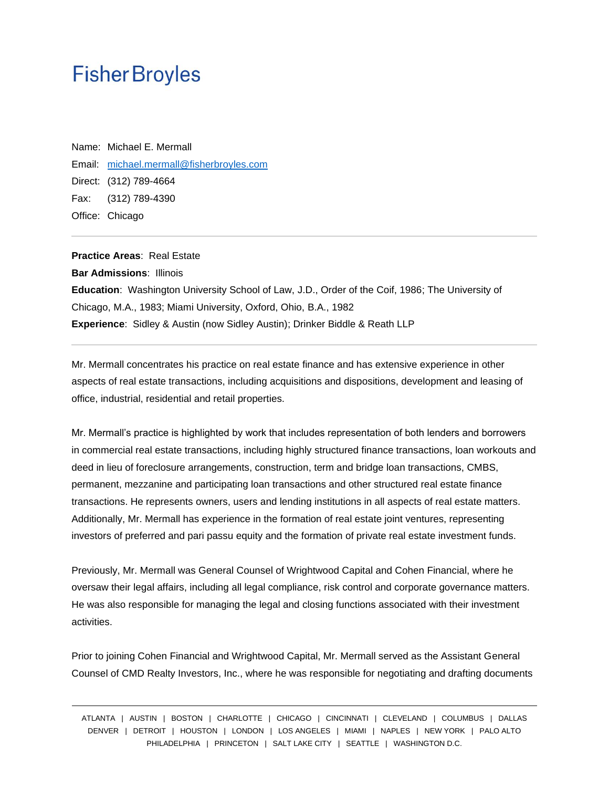## **Fisher Broyles**

Name: Michael E. Mermall Email: [michael.mermall@fisherbroyles.com](mailto:michael.mermall@fisherbroyles.com) Direct: (312) 789-4664 Fax: (312) 789-4390 Office: Chicago

**Practice Areas**: Real Estate **Bar Admissions**: Illinois **Education**: Washington University School of Law, J.D., Order of the Coif, 1986; The University of Chicago, M.A., 1983; Miami University, Oxford, Ohio, B.A., 1982 **Experience**: Sidley & Austin (now Sidley Austin); Drinker Biddle & Reath LLP

Mr. Mermall concentrates his practice on real estate finance and has extensive experience in other aspects of real estate transactions, including acquisitions and dispositions, development and leasing of office, industrial, residential and retail properties.

Mr. Mermall's practice is highlighted by work that includes representation of both lenders and borrowers in commercial real estate transactions, including highly structured finance transactions, loan workouts and deed in lieu of foreclosure arrangements, construction, term and bridge loan transactions, CMBS, permanent, mezzanine and participating loan transactions and other structured real estate finance transactions. He represents owners, users and lending institutions in all aspects of real estate matters. Additionally, Mr. Mermall has experience in the formation of real estate joint ventures, representing investors of preferred and pari passu equity and the formation of private real estate investment funds.

Previously, Mr. Mermall was General Counsel of Wrightwood Capital and Cohen Financial, where he oversaw their legal affairs, including all legal compliance, risk control and corporate governance matters. He was also responsible for managing the legal and closing functions associated with their investment activities.

Prior to joining Cohen Financial and Wrightwood Capital, Mr. Mermall served as the Assistant General Counsel of CMD Realty Investors, Inc., where he was responsible for negotiating and drafting documents